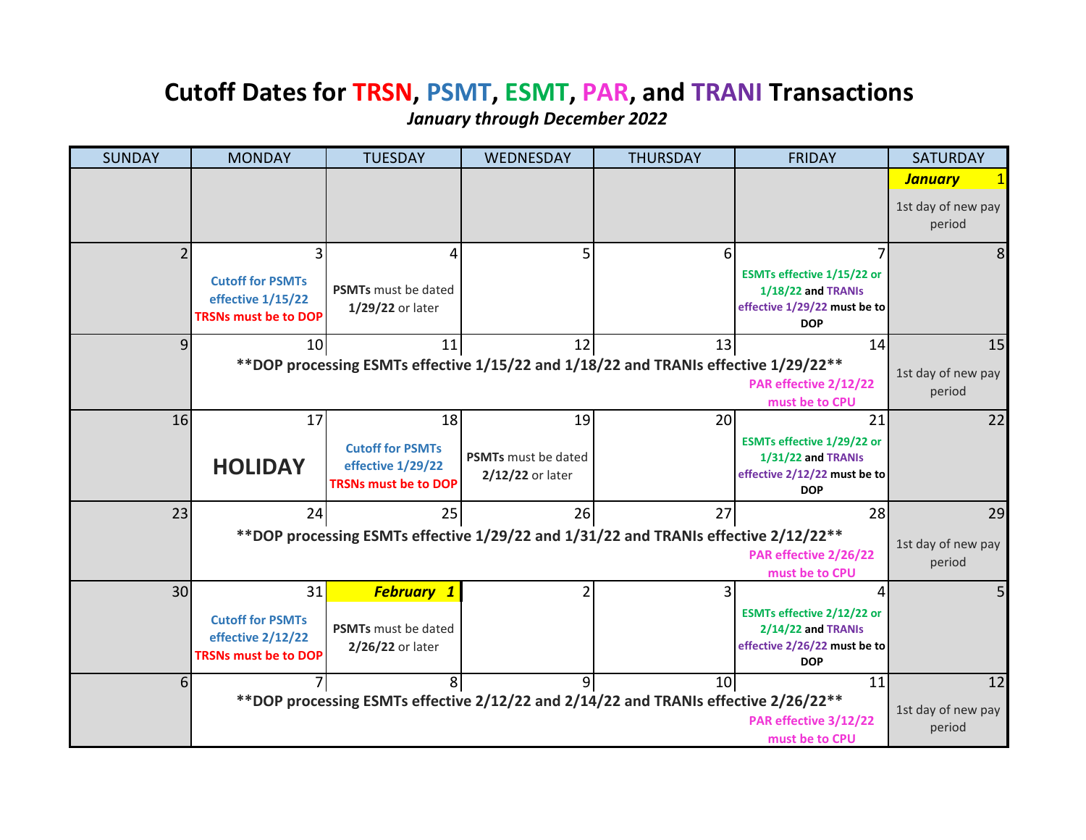## **Cutoff Dates for TRSN, PSMT, ESMT, PAR, and TRANI Transactions**

*January through December 2022*

| <b>SUNDAY</b> | <b>MONDAY</b>                                                                                                                                         | <b>TUESDAY</b>                                                              | WEDNESDAY                                      | <b>THURSDAY</b>                                                                      | <b>FRIDAY</b>                                                                                         | <b>SATURDAY</b>              |
|---------------|-------------------------------------------------------------------------------------------------------------------------------------------------------|-----------------------------------------------------------------------------|------------------------------------------------|--------------------------------------------------------------------------------------|-------------------------------------------------------------------------------------------------------|------------------------------|
|               |                                                                                                                                                       |                                                                             |                                                |                                                                                      |                                                                                                       | <b>January</b>               |
|               |                                                                                                                                                       |                                                                             |                                                |                                                                                      |                                                                                                       | 1st day of new pay<br>period |
|               |                                                                                                                                                       | 4                                                                           |                                                | 6                                                                                    |                                                                                                       | 8                            |
|               | <b>Cutoff for PSMTs</b><br>effective 1/15/22<br><b>TRSNs must be to DOP</b>                                                                           | PSMTs must be dated<br>1/29/22 or later                                     |                                                |                                                                                      | ESMTs effective 1/15/22 or<br>1/18/22 and TRANIs<br>effective 1/29/22 must be to<br><b>DOP</b>        |                              |
| q             | 10                                                                                                                                                    | 11                                                                          | 12                                             | 13                                                                                   | 14                                                                                                    | 15                           |
|               |                                                                                                                                                       |                                                                             |                                                | ** DOP processing ESMTs effective 1/15/22 and 1/18/22 and TRANIs effective 1/29/22** | PAR effective 2/12/22                                                                                 | 1st day of new pay<br>period |
|               |                                                                                                                                                       |                                                                             |                                                |                                                                                      | must be to CPU                                                                                        |                              |
| 16            | 17                                                                                                                                                    | 18                                                                          | 19                                             | 20                                                                                   | 21                                                                                                    | 22                           |
|               | <b>HOLIDAY</b>                                                                                                                                        | <b>Cutoff for PSMTs</b><br>effective 1/29/22<br><b>TRSNs must be to DOP</b> | <b>PSMTs</b> must be dated<br>2/12/22 or later |                                                                                      | <b>ESMTs effective 1/29/22 or</b><br>1/31/22 and TRANIs<br>effective 2/12/22 must be to<br><b>DOP</b> |                              |
| 23            | 24                                                                                                                                                    | 25                                                                          | 26                                             | 27                                                                                   | 28                                                                                                    | 29                           |
|               | ** DOP processing ESMTs effective 1/29/22 and 1/31/22 and TRANIs effective 2/12/22**<br>1st day of new pay<br>PAR effective 2/26/22<br>must be to CPU |                                                                             |                                                |                                                                                      |                                                                                                       |                              |
| 30            | 31                                                                                                                                                    | <b>February 1</b>                                                           |                                                | 3                                                                                    |                                                                                                       |                              |
|               | <b>Cutoff for PSMTs</b><br>effective 2/12/22<br><b>TRSNs must be to DOP</b>                                                                           | <b>PSMTs</b> must be dated<br>2/26/22 or later                              |                                                |                                                                                      | ESMTs effective 2/12/22 or<br>2/14/22 and TRANIs<br>effective 2/26/22 must be to<br><b>DOP</b>        |                              |
| 6             |                                                                                                                                                       | 8                                                                           | 9 <sup>1</sup>                                 | 10 <sup>1</sup>                                                                      | 11                                                                                                    | 12                           |
|               |                                                                                                                                                       |                                                                             |                                                | **DOP processing ESMTs effective 2/12/22 and 2/14/22 and TRANIs effective 2/26/22**  | PAR effective 3/12/22<br>must be to CPU                                                               | 1st day of new pay<br>period |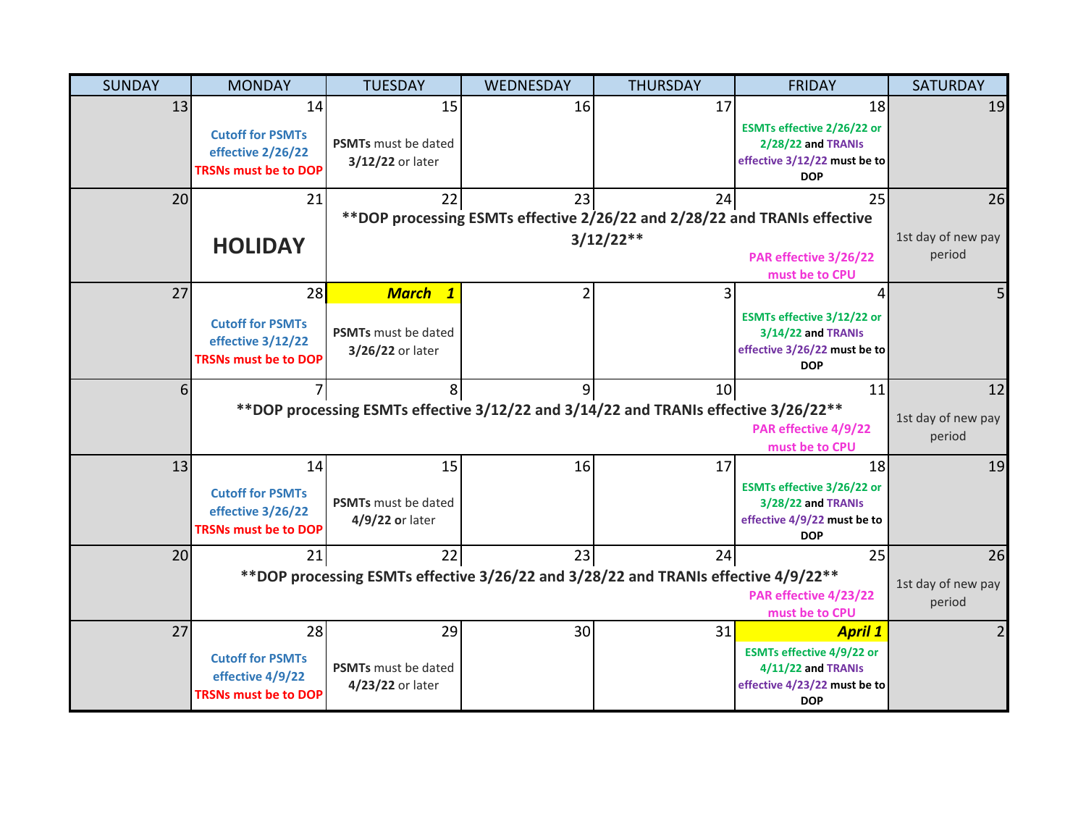| <b>SUNDAY</b> | <b>MONDAY</b>                                   | <b>TUESDAY</b>               | WEDNESDAY       | <b>THURSDAY</b>                                                                     | <b>FRIDAY</b>                                    | <b>SATURDAY</b>    |
|---------------|-------------------------------------------------|------------------------------|-----------------|-------------------------------------------------------------------------------------|--------------------------------------------------|--------------------|
| 13            | 14                                              | 15                           | 16              | 17                                                                                  | 18                                               | 19                 |
|               | <b>Cutoff for PSMTs</b><br>effective 2/26/22    | PSMTs must be dated          |                 |                                                                                     | ESMTs effective 2/26/22 or<br>2/28/22 and TRANIs |                    |
|               | <b>TRSNs must be to DOP</b>                     | 3/12/22 or later             |                 |                                                                                     | effective 3/12/22 must be to<br><b>DOP</b>       |                    |
| 20            | 21                                              | 22                           | 23              | 24                                                                                  | 25                                               | 26                 |
|               |                                                 |                              |                 | **DOP processing ESMTs effective 2/26/22 and 2/28/22 and TRANIs effective           |                                                  |                    |
|               | <b>HOLIDAY</b>                                  |                              |                 | $3/12/22**$                                                                         |                                                  | 1st day of new pay |
|               |                                                 |                              |                 |                                                                                     | PAR effective 3/26/22<br>must be to CPU          | period             |
| 27            | 28                                              | <b>March</b><br>$\mathbf{1}$ |                 | 3                                                                                   | Δ                                                | 5                  |
|               | <b>Cutoff for PSMTs</b>                         |                              |                 |                                                                                     | ESMTs effective 3/12/22 or                       |                    |
|               | effective 3/12/22                               | PSMTs must be dated          |                 |                                                                                     | 3/14/22 and TRANIs                               |                    |
|               | <b>TRSNs must be to DOP</b>                     | 3/26/22 or later             |                 |                                                                                     | effective 3/26/22 must be to                     |                    |
|               |                                                 |                              |                 |                                                                                     | <b>DOP</b>                                       |                    |
|               |                                                 |                              |                 | 10                                                                                  | 11                                               | 12                 |
|               |                                                 |                              |                 | **DOP processing ESMTs effective 3/12/22 and 3/14/22 and TRANIs effective 3/26/22** |                                                  | 1st day of new pay |
|               |                                                 |                              |                 |                                                                                     | PAR effective 4/9/22<br>must be to CPU           | period             |
| 13            | 14                                              | 15                           | 16              | 17                                                                                  | 18                                               | 19                 |
|               |                                                 |                              |                 |                                                                                     | ESMTs effective 3/26/22 or                       |                    |
|               | <b>Cutoff for PSMTs</b><br>effective 3/26/22    | PSMTs must be dated          |                 |                                                                                     | 3/28/22 and TRANIs                               |                    |
|               | <b>TRSNs must be to DOP</b>                     | 4/9/22 or later              |                 |                                                                                     | effective 4/9/22 must be to                      |                    |
|               |                                                 |                              |                 |                                                                                     | <b>DOP</b>                                       |                    |
| 20            | 21                                              | 22                           | 23              | 24                                                                                  | 25                                               | 26                 |
|               |                                                 |                              |                 | ** DOP processing ESMTs effective 3/26/22 and 3/28/22 and TRANIs effective 4/9/22** |                                                  | 1st day of new pay |
|               |                                                 |                              |                 |                                                                                     | PAR effective 4/23/22<br>must be to CPU          | period             |
| 27            | 28                                              | 29                           | 30 <sup>1</sup> | 31                                                                                  | <b>April 1</b>                                   | $\overline{2}$     |
|               |                                                 |                              |                 |                                                                                     | <b>ESMTs effective 4/9/22 or</b>                 |                    |
|               | <b>Cutoff for PSMTs</b>                         | <b>PSMTs</b> must be dated   |                 |                                                                                     | 4/11/22 and TRANIs                               |                    |
|               | effective 4/9/22<br><b>TRSNs must be to DOP</b> | 4/23/22 or later             |                 |                                                                                     | effective 4/23/22 must be to                     |                    |
|               |                                                 |                              |                 |                                                                                     | <b>DOP</b>                                       |                    |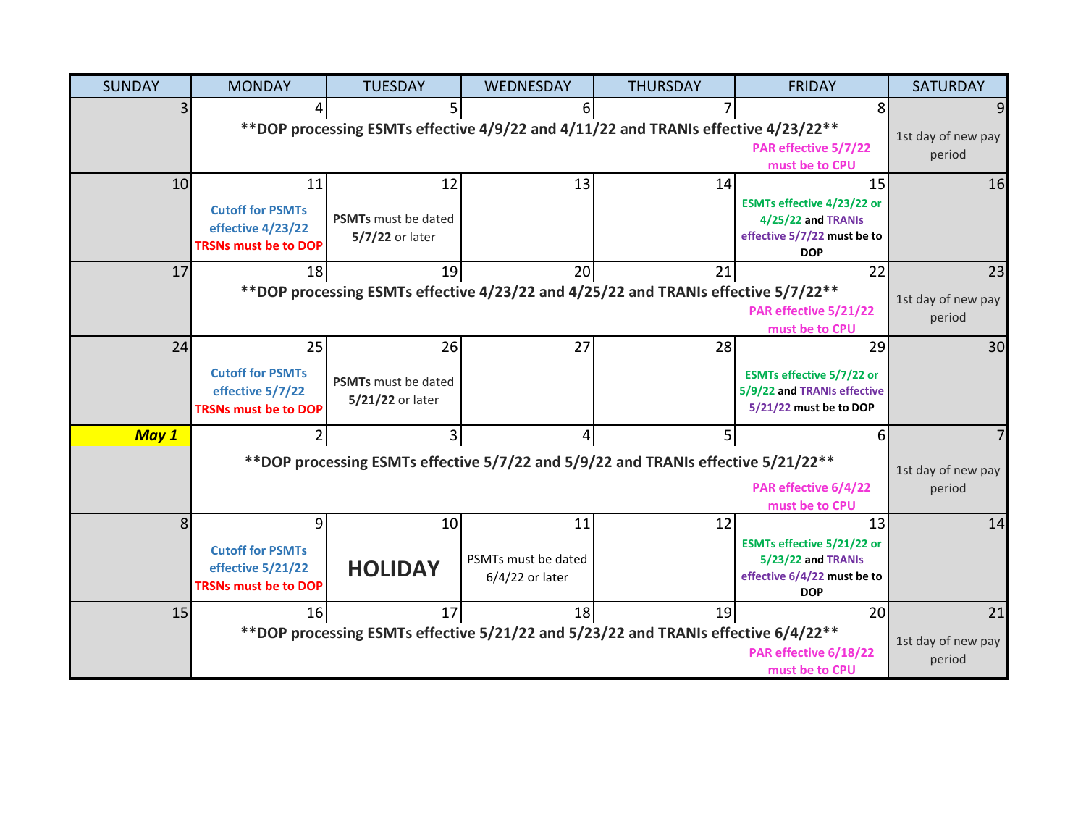| <b>SUNDAY</b>   | <b>MONDAY</b>                                    | <b>TUESDAY</b>             | WEDNESDAY           | <b>THURSDAY</b>                                                                     | <b>FRIDAY</b>                                                   | <b>SATURDAY</b>    |
|-----------------|--------------------------------------------------|----------------------------|---------------------|-------------------------------------------------------------------------------------|-----------------------------------------------------------------|--------------------|
|                 |                                                  | 5                          | ы                   |                                                                                     | 8                                                               |                    |
|                 |                                                  |                            |                     | ** DOP processing ESMTs effective 4/9/22 and 4/11/22 and TRANIs effective 4/23/22** |                                                                 | 1st day of new pay |
|                 |                                                  |                            |                     |                                                                                     | PAR effective 5/7/22                                            | period             |
| 10 <sup>1</sup> | 11                                               | 12                         | 13                  | 14                                                                                  | must be to CPU<br>15                                            | 16                 |
|                 |                                                  |                            |                     |                                                                                     | ESMTs effective 4/23/22 or                                      |                    |
|                 | <b>Cutoff for PSMTs</b>                          | <b>PSMTs</b> must be dated |                     |                                                                                     | 4/25/22 and TRANIs                                              |                    |
|                 | effective 4/23/22<br><b>TRSNs must be to DOP</b> | 5/7/22 or later            |                     |                                                                                     | effective 5/7/22 must be to                                     |                    |
|                 |                                                  |                            |                     |                                                                                     | <b>DOP</b>                                                      |                    |
| 17              | 18                                               | 19                         | 20                  | 21                                                                                  | 22                                                              | 23                 |
|                 |                                                  |                            |                     | **DOP processing ESMTs effective 4/23/22 and 4/25/22 and TRANIs effective 5/7/22**  |                                                                 | 1st day of new pay |
|                 |                                                  |                            |                     |                                                                                     | PAR effective 5/21/22<br>must be to CPU                         | period             |
| 24              | 25                                               | 26                         | 27                  | 28                                                                                  | 29                                                              | 30                 |
|                 |                                                  |                            |                     |                                                                                     |                                                                 |                    |
|                 | <b>Cutoff for PSMTs</b><br>effective 5/7/22      | <b>PSMTs</b> must be dated |                     |                                                                                     | <b>ESMTs effective 5/7/22 or</b><br>5/9/22 and TRANIs effective |                    |
|                 | <b>TRSNs must be to DOP</b>                      | 5/21/22 or later           |                     |                                                                                     | 5/21/22 must be to DOP                                          |                    |
|                 |                                                  | 3                          |                     | 5                                                                                   | 6                                                               |                    |
| May 1           |                                                  |                            |                     |                                                                                     |                                                                 |                    |
|                 |                                                  |                            |                     | ** DOP processing ESMTs effective 5/7/22 and 5/9/22 and TRANIs effective 5/21/22**  |                                                                 | 1st day of new pay |
|                 |                                                  |                            |                     |                                                                                     | PAR effective 6/4/22                                            | period             |
|                 |                                                  |                            |                     |                                                                                     | must be to CPU                                                  |                    |
| 8 <sup>1</sup>  | 9                                                | 10                         | 11                  | 12                                                                                  | 13                                                              | 14                 |
|                 | <b>Cutoff for PSMTs</b>                          |                            | PSMTs must be dated |                                                                                     | <b>ESMTs effective 5/21/22 or</b>                               |                    |
|                 | effective 5/21/22                                | <b>HOLIDAY</b>             | 6/4/22 or later     |                                                                                     | 5/23/22 and TRANIs<br>effective 6/4/22 must be to               |                    |
|                 | <b>TRSNs must be to DOP</b>                      |                            |                     |                                                                                     | <b>DOP</b>                                                      |                    |
| 15              | 16                                               | 17                         | 18                  | 19                                                                                  | 20                                                              | 21                 |
|                 |                                                  |                            |                     | ** DOP processing ESMTs effective 5/21/22 and 5/23/22 and TRANIs effective 6/4/22** |                                                                 | 1st day of new pay |
|                 |                                                  |                            |                     |                                                                                     | PAR effective 6/18/22                                           | period             |
|                 |                                                  |                            |                     |                                                                                     | must be to CPU                                                  |                    |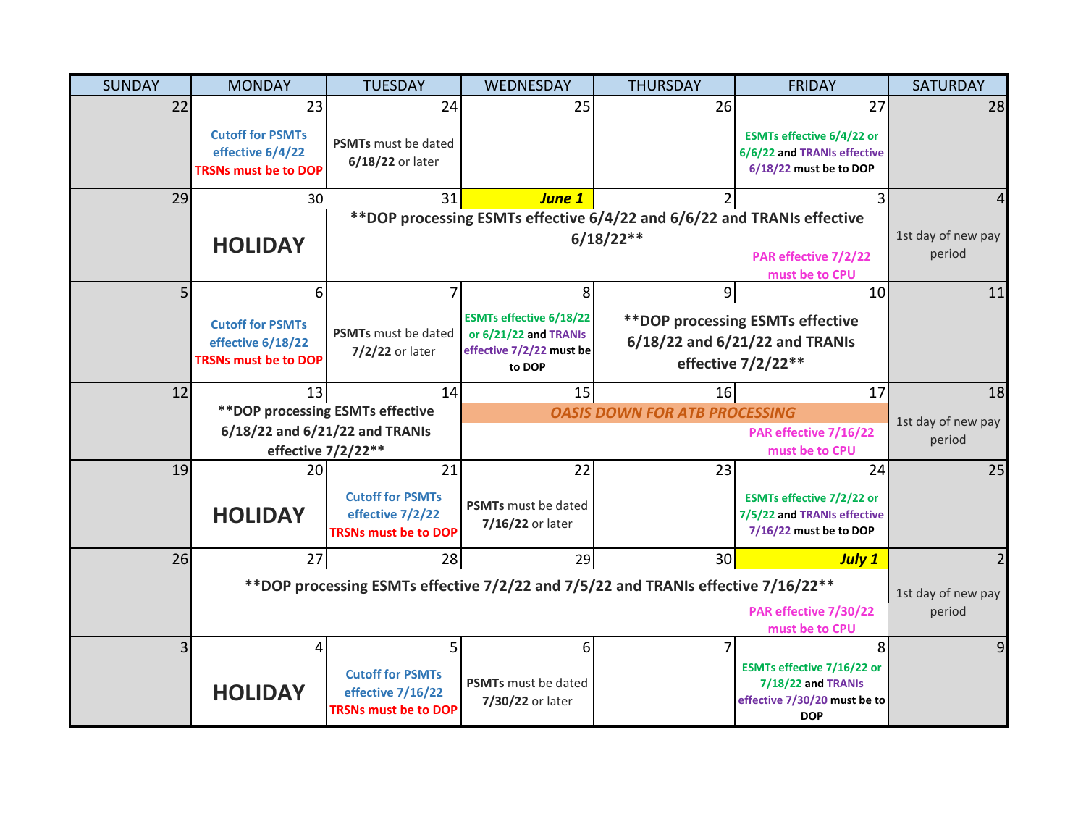| <b>SUNDAY</b> | <b>MONDAY</b>                               | <b>TUESDAY</b>                              | WEDNESDAY                          | <b>THURSDAY</b>                                                                   | <b>FRIDAY</b>                                                   | <b>SATURDAY</b>              |
|---------------|---------------------------------------------|---------------------------------------------|------------------------------------|-----------------------------------------------------------------------------------|-----------------------------------------------------------------|------------------------------|
| 22            | 23                                          | 24                                          | 25                                 | 26                                                                                | 27                                                              | 28                           |
|               | <b>Cutoff for PSMTs</b><br>effective 6/4/22 | <b>PSMTs</b> must be dated                  |                                    |                                                                                   | <b>ESMTs effective 6/4/22 or</b><br>6/6/22 and TRANIs effective |                              |
|               | <b>TRSNs must be to DOP</b>                 | 6/18/22 or later                            |                                    |                                                                                   | 6/18/22 must be to DOP                                          |                              |
| 29            | 30                                          | 31                                          | <b>June 1</b>                      |                                                                                   | 3                                                               | 4                            |
|               |                                             |                                             |                                    | **DOP processing ESMTs effective 6/4/22 and 6/6/22 and TRANIs effective           |                                                                 |                              |
|               | <b>HOLIDAY</b>                              |                                             |                                    | $6/18/22**$                                                                       |                                                                 | 1st day of new pay<br>period |
|               |                                             |                                             |                                    |                                                                                   | PAR effective 7/2/22<br>must be to CPU                          |                              |
| 5             | 6                                           |                                             | 8                                  | 9                                                                                 | 10                                                              | 11                           |
|               | <b>Cutoff for PSMTs</b>                     |                                             | <b>ESMTs effective 6/18/22</b>     |                                                                                   | ** DOP processing ESMTs effective                               |                              |
|               | effective 6/18/22                           | <b>PSMTs</b> must be dated                  | or 6/21/22 and TRANIs              |                                                                                   | 6/18/22 and 6/21/22 and TRANIs                                  |                              |
|               | <b>TRSNs must be to DOP</b>                 | 7/2/22 or later                             | effective 7/2/22 must be<br>to DOP |                                                                                   | effective 7/2/22**                                              |                              |
| 12            | 13                                          | 14                                          | 15                                 | 16                                                                                | 17                                                              | 18                           |
|               |                                             | ** DOP processing ESMTs effective           |                                    | <b>OASIS DOWN FOR ATB PROCESSING</b>                                              |                                                                 | 1st day of new pay           |
|               |                                             | 6/18/22 and 6/21/22 and TRANIs              |                                    |                                                                                   | PAR effective 7/16/22                                           | period                       |
|               |                                             | effective 7/2/22**                          |                                    |                                                                                   | must be to CPU                                                  |                              |
| 19            | 20 <sup>1</sup>                             | 21                                          | 22                                 | 23                                                                                | 24                                                              | 25                           |
|               |                                             | <b>Cutoff for PSMTs</b><br>effective 7/2/22 | <b>PSMTs</b> must be dated         |                                                                                   | <b>ESMTs effective 7/2/22 or</b>                                |                              |
|               | <b>HOLIDAY</b>                              | <b>TRSNs must be to DOP</b>                 | 7/16/22 or later                   |                                                                                   | 7/5/22 and TRANIs effective<br>7/16/22 must be to DOP           |                              |
| 26            | 27                                          | 28                                          | 29                                 | 30                                                                                | <b>July 1</b>                                                   | 2                            |
|               |                                             |                                             |                                    | **DOP processing ESMTs effective 7/2/22 and 7/5/22 and TRANIs effective 7/16/22** |                                                                 |                              |
|               |                                             |                                             |                                    |                                                                                   | PAR effective 7/30/22                                           | 1st day of new pay<br>period |
|               |                                             |                                             |                                    |                                                                                   | must be to CPU                                                  |                              |
| 3             | 4                                           | 5                                           | 6                                  | 7                                                                                 | 8                                                               | 9                            |
|               |                                             | <b>Cutoff for PSMTs</b>                     | <b>PSMTs</b> must be dated         |                                                                                   | ESMTs effective 7/16/22 or<br>7/18/22 and TRANIs                |                              |
|               | <b>HOLIDAY</b>                              | effective 7/16/22                           | 7/30/22 or later                   |                                                                                   | effective 7/30/20 must be to                                    |                              |
|               |                                             | <b>TRSNs must be to DOP</b>                 |                                    |                                                                                   | <b>DOP</b>                                                      |                              |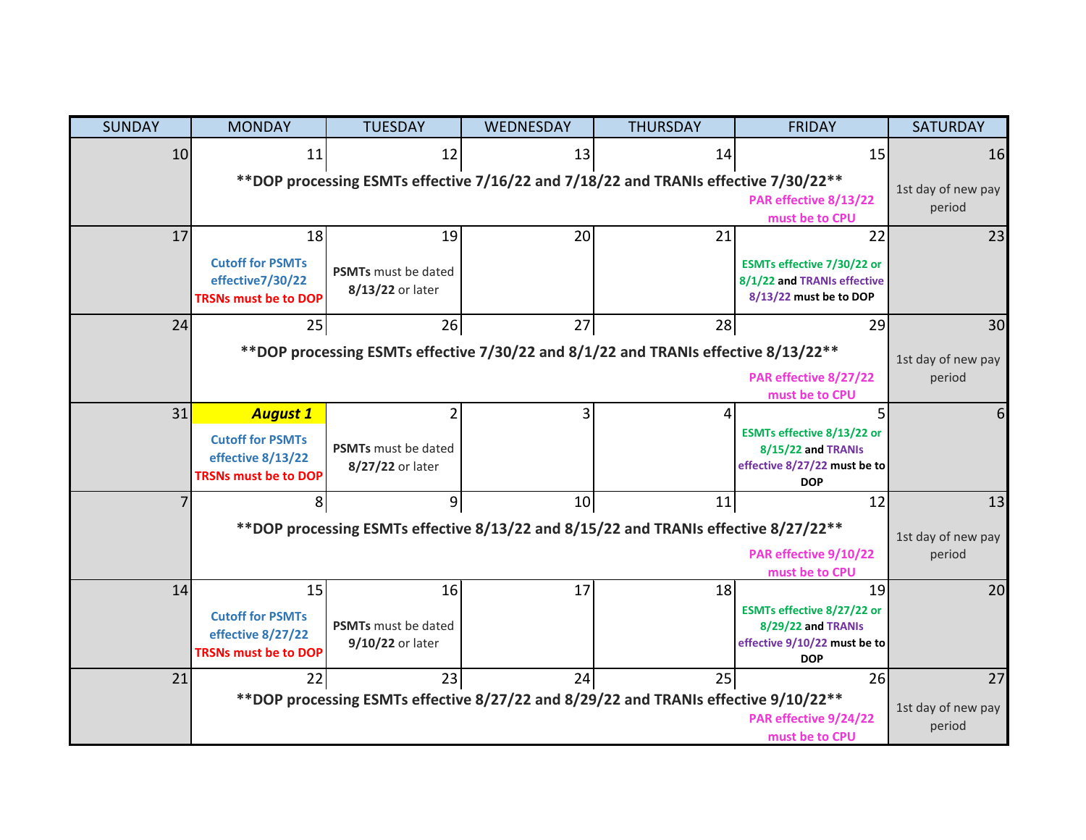| <b>SUNDAY</b> | <b>MONDAY</b>                                                                                                                                        | <b>TUESDAY</b>                                 | WEDNESDAY       | <b>THURSDAY</b>                                                                     | <b>FRIDAY</b>                                                                                        | <b>SATURDAY</b>              |  |
|---------------|------------------------------------------------------------------------------------------------------------------------------------------------------|------------------------------------------------|-----------------|-------------------------------------------------------------------------------------|------------------------------------------------------------------------------------------------------|------------------------------|--|
| 10            | 11                                                                                                                                                   | 12                                             | 13              | 14                                                                                  | 15                                                                                                   | 16                           |  |
|               | **DOP processing ESMTs effective 7/16/22 and 7/18/22 and TRANIs effective 7/30/22**<br>1st day of new pay<br>PAR effective 8/13/22<br>must be to CPU |                                                |                 |                                                                                     |                                                                                                      |                              |  |
| 17            | 18                                                                                                                                                   | 19                                             | 20              | 21                                                                                  | 22                                                                                                   | 23                           |  |
|               | <b>Cutoff for PSMTs</b><br>effective7/30/22<br><b>TRSNs must be to DOP</b>                                                                           | <b>PSMTs</b> must be dated<br>8/13/22 or later |                 |                                                                                     | ESMTs effective 7/30/22 or<br>8/1/22 and TRANIs effective<br>8/13/22 must be to DOP                  |                              |  |
| 24            | 25                                                                                                                                                   | 26                                             | 27              | 28                                                                                  | 29                                                                                                   | 30                           |  |
|               |                                                                                                                                                      |                                                |                 | ** DOP processing ESMTs effective 7/30/22 and 8/1/22 and TRANIs effective 8/13/22** |                                                                                                      | 1st day of new pay           |  |
|               |                                                                                                                                                      |                                                |                 |                                                                                     | PAR effective 8/27/22<br>must be to CPU                                                              | period                       |  |
| 31            | <b>August 1</b>                                                                                                                                      |                                                |                 |                                                                                     | 5                                                                                                    | 6                            |  |
|               | <b>Cutoff for PSMTs</b><br>effective 8/13/22<br><b>TRSNs must be to DOP</b>                                                                          | <b>PSMTs</b> must be dated<br>8/27/22 or later |                 |                                                                                     | ESMTs effective 8/13/22 or<br>8/15/22 and TRANIs<br>effective 8/27/22 must be to<br><b>DOP</b>       |                              |  |
|               | 8                                                                                                                                                    | 9                                              | 10 <sub>1</sub> | 11                                                                                  | 12                                                                                                   | 13                           |  |
|               |                                                                                                                                                      |                                                |                 | **DOP processing ESMTs effective 8/13/22 and 8/15/22 and TRANIs effective 8/27/22** |                                                                                                      | 1st day of new pay           |  |
|               |                                                                                                                                                      |                                                |                 |                                                                                     | PAR effective 9/10/22<br>must be to CPU                                                              | period                       |  |
| 14            | 15<br><b>Cutoff for PSMTs</b><br>effective 8/27/22<br><b>TRSNs must be to DOP</b>                                                                    | 16<br>PSMTs must be dated<br>9/10/22 or later  | 17              | 18                                                                                  | 19<br>ESMTs effective 8/27/22 or<br>8/29/22 and TRANIs<br>effective 9/10/22 must be to<br><b>DOP</b> | 20                           |  |
| 21            | 22                                                                                                                                                   | 23                                             | 24              | 25                                                                                  | 26                                                                                                   | 27                           |  |
|               |                                                                                                                                                      |                                                |                 | **DOP processing ESMTs effective 8/27/22 and 8/29/22 and TRANIs effective 9/10/22** | PAR effective 9/24/22<br>must be to CPU                                                              | 1st day of new pay<br>period |  |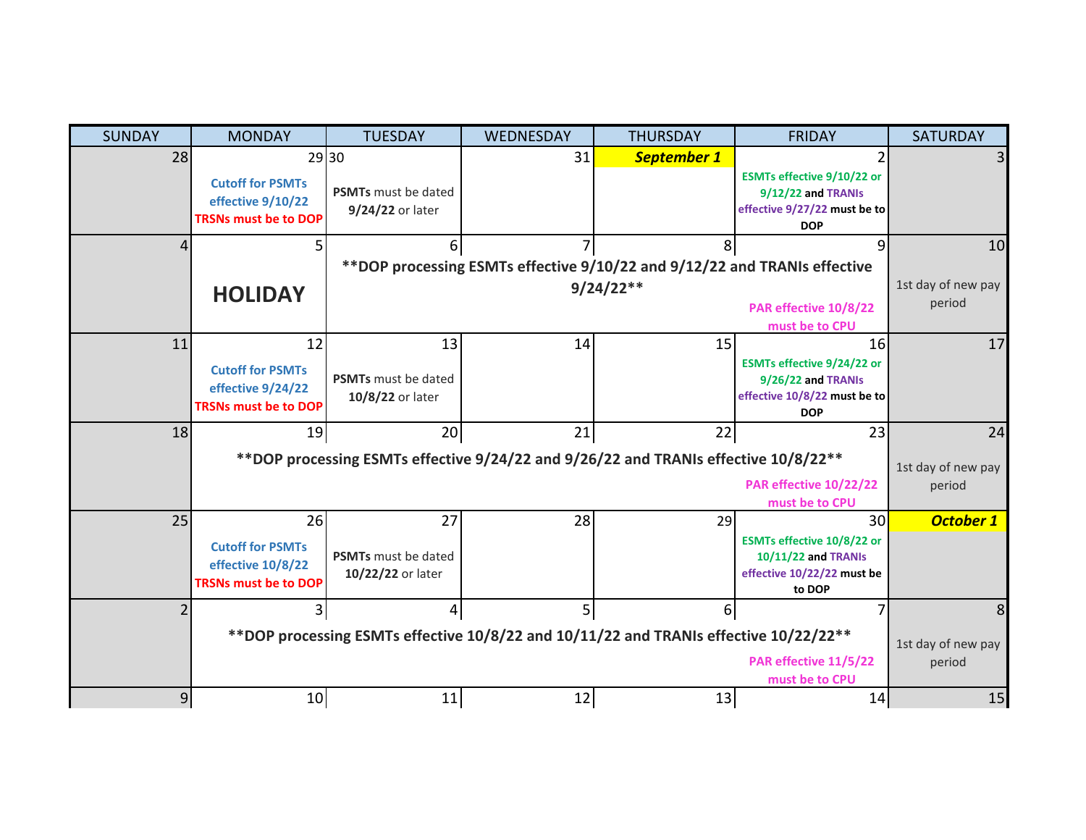| <b>SUNDAY</b>    | <b>MONDAY</b>                                                                                                                    | <b>TUESDAY</b>                                 | WEDNESDAY      | <b>THURSDAY</b>                                                                     | <b>FRIDAY</b>                                                                                        | <b>SATURDAY</b>    |
|------------------|----------------------------------------------------------------------------------------------------------------------------------|------------------------------------------------|----------------|-------------------------------------------------------------------------------------|------------------------------------------------------------------------------------------------------|--------------------|
| 28               | 29 30                                                                                                                            |                                                | 31             | <b>September 1</b>                                                                  | $\overline{2}$                                                                                       |                    |
|                  | <b>Cutoff for PSMTs</b><br>effective 9/10/22<br><b>TRSNs must be to DOP</b>                                                      | <b>PSMTs</b> must be dated<br>9/24/22 or later |                |                                                                                     | ESMTs effective 9/10/22 or<br>9/12/22 and TRANIs<br>effective 9/27/22 must be to<br><b>DOP</b>       |                    |
|                  |                                                                                                                                  | 6                                              |                | 8                                                                                   | q                                                                                                    | 10                 |
|                  |                                                                                                                                  |                                                |                | **DOP processing ESMTs effective 9/10/22 and 9/12/22 and TRANIs effective           |                                                                                                      |                    |
|                  | <b>HOLIDAY</b>                                                                                                                   |                                                |                | $9/24/22**$                                                                         |                                                                                                      | 1st day of new pay |
|                  |                                                                                                                                  |                                                |                |                                                                                     | PAR effective 10/8/22                                                                                | period             |
|                  |                                                                                                                                  |                                                |                |                                                                                     | must be to CPU                                                                                       |                    |
| 11               | 12<br><b>Cutoff for PSMTs</b><br>effective 9/24/22<br><b>TRSNs must be to DOP</b>                                                | 13<br>PSMTs must be dated<br>10/8/22 or later  | 14             | 15                                                                                  | 16<br>ESMTs effective 9/24/22 or<br>9/26/22 and TRANIs<br>effective 10/8/22 must be to<br><b>DOP</b> | 17                 |
| 18               | 19                                                                                                                               | 20                                             | 21             | 22                                                                                  | 23                                                                                                   | 24                 |
|                  |                                                                                                                                  |                                                |                | **DOP processing ESMTs effective 9/24/22 and 9/26/22 and TRANIs effective 10/8/22** |                                                                                                      | 1st day of new pay |
|                  |                                                                                                                                  |                                                |                |                                                                                     | <b>PAR effective 10/22/22</b><br>must be to CPU                                                      | period             |
| 25               | 26                                                                                                                               | 27                                             | 28             | 29                                                                                  | 30                                                                                                   | <b>October 1</b>   |
|                  | <b>Cutoff for PSMTs</b><br>effective 10/8/22<br><b>TRSNs must be to DOP</b>                                                      | PSMTs must be dated<br>10/22/22 or later       |                |                                                                                     | ESMTs effective 10/8/22 or<br>10/11/22 and TRANIs<br>effective 10/22/22 must be<br>to DOP            |                    |
|                  |                                                                                                                                  | 4                                              | 5 <sup>1</sup> | $6 \mid$                                                                            |                                                                                                      | 8                  |
|                  | **DOP processing ESMTs effective 10/8/22 and 10/11/22 and TRANIs effective 10/22/22**<br>PAR effective 11/5/22<br>must be to CPU |                                                |                |                                                                                     |                                                                                                      |                    |
| $\boldsymbol{9}$ | 10                                                                                                                               | 11                                             | 12             | 13                                                                                  | 14                                                                                                   | 15                 |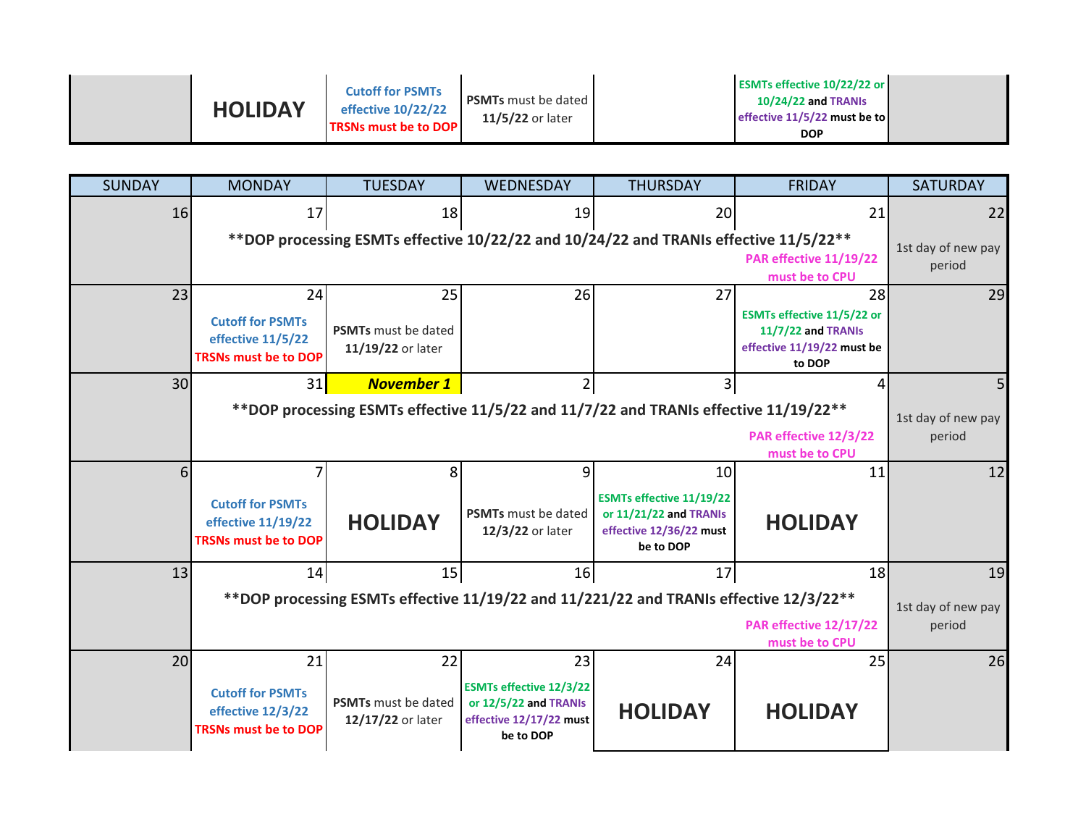| <b>HOLIDAY</b> | <b>Cutoff for PSMTs</b><br>effective 10/22/22<br><b>TRSNs must be to DOP</b> | <b>PSMTs</b> must be dated<br>11/5/22 or later | <b>ESMTs effective 10/22/22 or</b><br><b>10/24/22 and TRANIS</b><br>effective 11/5/22 must be to<br>DOP. |  |
|----------------|------------------------------------------------------------------------------|------------------------------------------------|----------------------------------------------------------------------------------------------------------|--|
|                |                                                                              |                                                |                                                                                                          |  |

| <b>SUNDAY</b> | <b>MONDAY</b>                                    | <b>TUESDAY</b>             | <b>WEDNESDAY</b>               | <b>THURSDAY</b>                                                                         | <b>FRIDAY</b>                                           | <b>SATURDAY</b>    |
|---------------|--------------------------------------------------|----------------------------|--------------------------------|-----------------------------------------------------------------------------------------|---------------------------------------------------------|--------------------|
| 16            | 17                                               | 18                         | 19                             | 20                                                                                      | 21                                                      | 22                 |
|               |                                                  |                            |                                | ** DOP processing ESMTs effective 10/22/22 and 10/24/22 and TRANIs effective 11/5/22**  |                                                         | 1st day of new pay |
|               |                                                  |                            |                                |                                                                                         | <b>PAR effective 11/19/22</b>                           | period             |
|               |                                                  |                            |                                |                                                                                         | must be to CPU                                          |                    |
| 23            | 24                                               | 25                         | 26                             | 27                                                                                      | 28                                                      | 29                 |
|               | <b>Cutoff for PSMTs</b>                          | <b>PSMTs</b> must be dated |                                |                                                                                         | <b>ESMTs effective 11/5/22 or</b><br>11/7/22 and TRANIs |                    |
|               | effective 11/5/22                                | 11/19/22 or later          |                                |                                                                                         | effective 11/19/22 must be                              |                    |
|               | <b>TRSNs must be to DOP</b>                      |                            |                                |                                                                                         | to DOP                                                  |                    |
| 30            | 31                                               | <b>November 1</b>          | 2                              | 3                                                                                       | 4                                                       | 5                  |
|               |                                                  |                            |                                | **DOP processing ESMTs effective 11/5/22 and 11/7/22 and TRANIs effective 11/19/22**    |                                                         | 1st day of new pay |
|               |                                                  |                            |                                |                                                                                         | PAR effective 12/3/22                                   | period             |
|               |                                                  |                            |                                |                                                                                         | must be to CPU                                          |                    |
| 6             |                                                  | 8                          | 9                              | 10                                                                                      | 11                                                      | 12                 |
|               | <b>Cutoff for PSMTs</b>                          |                            |                                | <b>ESMTs effective 11/19/22</b>                                                         |                                                         |                    |
|               | effective 11/19/22                               | <b>HOLIDAY</b>             | PSMTs must be dated            | or 11/21/22 and TRANIs<br>effective 12/36/22 must                                       | <b>HOLIDAY</b>                                          |                    |
|               | <b>TRSNs must be to DOP</b>                      |                            | 12/3/22 or later               | be to DOP                                                                               |                                                         |                    |
| 13            | 14                                               | 15                         | 16                             | 17                                                                                      | 18                                                      | 19                 |
|               |                                                  |                            |                                | ** DOP processing ESMTs effective 11/19/22 and 11/221/22 and TRANIs effective 12/3/22** |                                                         | 1st day of new pay |
|               |                                                  |                            |                                |                                                                                         | <b>PAR effective 12/17/22</b>                           | period             |
|               |                                                  |                            |                                |                                                                                         | must be to CPU                                          |                    |
| 20            | 21                                               | 22                         | 23                             | 24                                                                                      | 25                                                      | 26                 |
|               |                                                  |                            | <b>ESMTs effective 12/3/22</b> |                                                                                         |                                                         |                    |
|               | <b>Cutoff for PSMTs</b>                          | <b>PSMTs</b> must be dated | or 12/5/22 and TRANIs          |                                                                                         |                                                         |                    |
|               | effective 12/3/22<br><b>TRSNs must be to DOP</b> | 12/17/22 or later          | effective 12/17/22 must        | <b>HOLIDAY</b>                                                                          | <b>HOLIDAY</b>                                          |                    |
|               |                                                  |                            | be to DOP                      |                                                                                         |                                                         |                    |